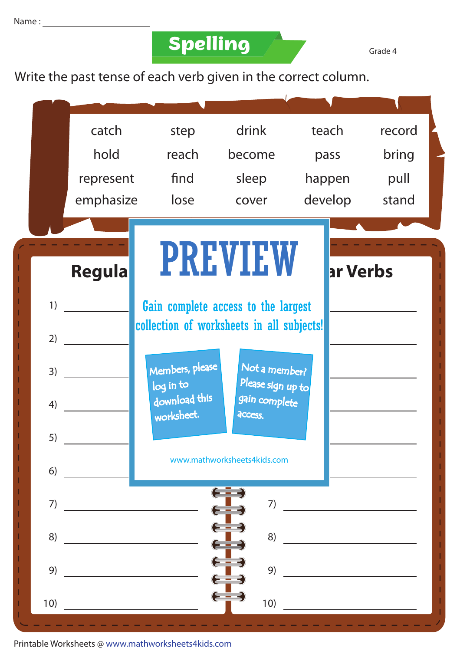## **Spelling** And Grade 4

Write the past tense of each verb given in the correct column.



Printable Worksheets @ www.mathworksheets4kids.com